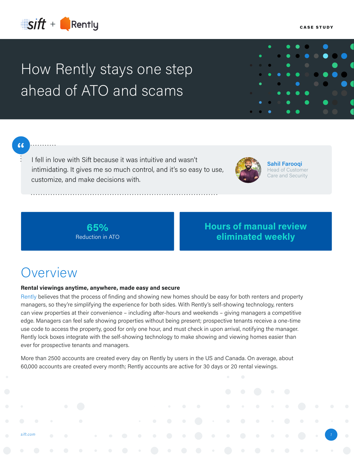

# How Rently stays one step ahead of ATO and scams

### 66

I fell in love with Sift because it was intuitive and wasn't intimidating. It gives me so much control, and it's so easy to use, customize, and make decisions with.

**Sahil Farooqi** Head of Customer Care and Security

**65%** Reduction in ATO

### **Hours of manual review eliminated weekly**

### **Overview**

#### **Rental viewings anytime, anywhere, made easy and secure**

[Rently](https://use.rently.com/) believes that the process of finding and showing new homes should be easy for both renters and property managers, so they're simplifying the experience for both sides. With Rently's self-showing technology, renters can view properties at their convenience – including after-hours and weekends – giving managers a competitive edge. Managers can feel safe showing properties without being present; prospective tenants receive a one-time use code to access the property, good for only one hour, and must check in upon arrival, notifying the manager. Rently lock boxes integrate with the self-showing technology to make showing and viewing homes easier than ever for prospective tenants and managers.

More than 2500 accounts are created every day on Rently by users in the US and Canada. On average, about 60,000 accounts are created every month; Rently accounts are active for 30 days or 20 rental viewings.

*[sift.com](https://sift.com/contact-us) 1*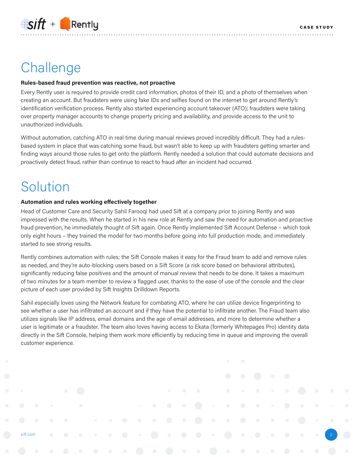## Challenge

#### **Rules-based fraud prevention was reactive, not proactive**

Every Rently user is required to provide credit card information, photos of their ID, and a photo of themselves when creating an account. But fraudsters were using fake IDs and selfies found on the internet to get around Rently's identification verification process. Rently also started experiencing account takeover (ATO); fraudsters were taking over property manager accounts to change property pricing and availability, and provide access to the unit to unauthorized individuals.

Without automation, catching ATO in real time during manual reviews proved incredibly difficult. They had a rulesbased system in place that was catching some fraud, but wasn't able to keep up with fraudsters getting smarter and finding ways around those rules to get onto the platform. Rently needed a solution that could automate decisions and proactively detect fraud, rather than continue to react to fraud after an incident had occurred.

### Solution

#### **Automation and rules working effectively together**

Head of Customer Care and Security Sahil Farooqi had used Sift at a company prior to joining Rently and was impressed with the results. When he started in his new role at Rently and saw the need for automation and proactive fraud prevention, he immediately thought of Sift again. Once Rently implemented Sift Account Defense – which took only eight hours – they trained the model for two months before going into full production mode, and immediately started to see strong results.

Rently combines automation with rules; the Sift Console makes it easy for the Fraud team to add and remove rules as needed, and they're auto-blocking users based on a Sift Score (a risk score based on behavioral attributes), significantly reducing false positives and the amount of manual review that needs to be done. It takes a maximum of two minutes for a team member to review a flagged user, thanks to the ease of use of the console and the clear picture of each user provided by Sift Insights Drilldown Reports.

Sahil especially loves using the Network feature for combating ATO, where he can utilize device fingerprinting to see whether a user has infiltrated an account and if they have the potential to infiltrate another. The Fraud team also utilizes signals like IP address, email domains and the age of email addresses, and more to determine whether a user is legitimate or a fraudster. The team also loves having access to Ekata (formerly Whitepages Pro) identity data directly in the Sift Console, helping them work more efficiently by reducing time in queue and improving the overall customer experience.

*[sift.com](http://www.sift.com) 2*